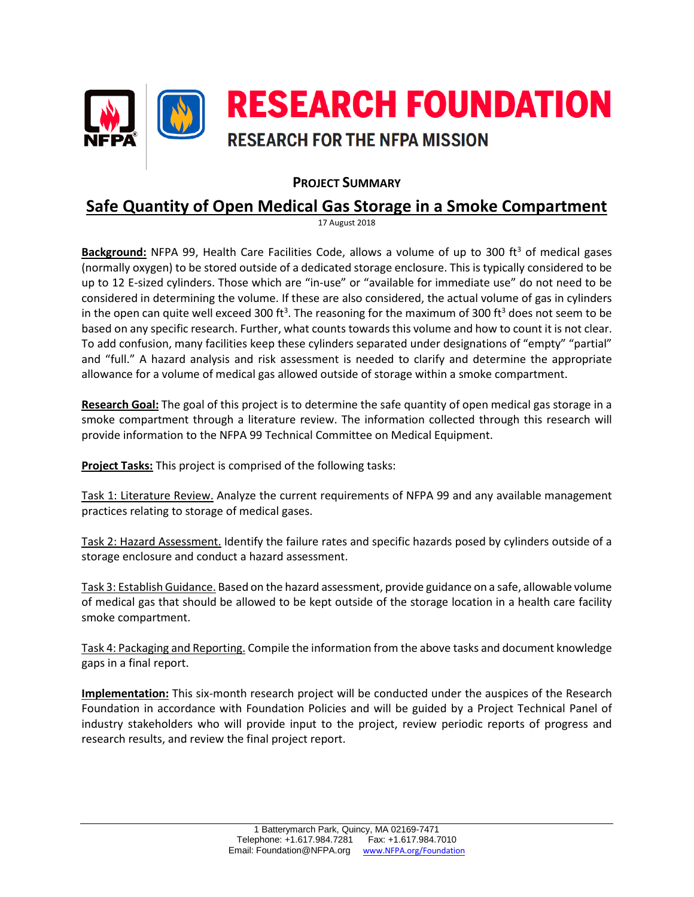

## **PROJECT SUMMARY**

## **Safe Quantity of Open Medical Gas Storage in a Smoke Compartment**

17 August 2018

**Background:** NFPA 99, Health Care Facilities Code, allows a volume of up to 300 ft<sup>3</sup> of medical gases (normally oxygen) to be stored outside of a dedicated storage enclosure. This is typically considered to be up to 12 E‐sized cylinders. Those which are "in‐use" or "available for immediate use" do not need to be considered in determining the volume. If these are also considered, the actual volume of gas in cylinders in the open can quite well exceed 300 ft<sup>3</sup>. The reasoning for the maximum of 300 ft<sup>3</sup> does not seem to be based on any specific research. Further, what counts towards this volume and how to count it is not clear. To add confusion, many facilities keep these cylinders separated under designations of "empty" "partial" and "full." A hazard analysis and risk assessment is needed to clarify and determine the appropriate allowance for a volume of medical gas allowed outside of storage within a smoke compartment.

**Research Goal:** The goal of this project is to determine the safe quantity of open medical gas storage in a smoke compartment through a literature review. The information collected through this research will provide information to the NFPA 99 Technical Committee on Medical Equipment.

**Project Tasks:** This project is comprised of the following tasks:

Task 1: Literature Review. Analyze the current requirements of NFPA 99 and any available management practices relating to storage of medical gases.

Task 2: Hazard Assessment. Identify the failure rates and specific hazards posed by cylinders outside of a storage enclosure and conduct a hazard assessment.

Task 3: Establish Guidance. Based on the hazard assessment, provide guidance on a safe, allowable volume of medical gas that should be allowed to be kept outside of the storage location in a health care facility smoke compartment.

Task 4: Packaging and Reporting. Compile the information from the above tasks and document knowledge gaps in a final report.

**Implementation:** This six-month research project will be conducted under the auspices of the Research Foundation in accordance with Foundation Policies and will be guided by a Project Technical Panel of industry stakeholders who will provide input to the project, review periodic reports of progress and research results, and review the final project report.